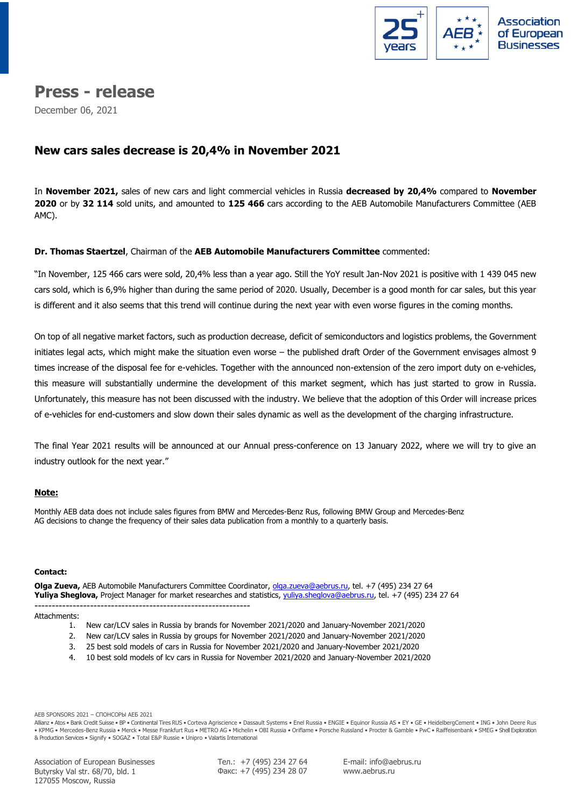

# **Press - release**

December 06, 2021

# **New cars sales decrease is 20,4% in November 2021**

In **November 2021,** sales of new cars and light commercial vehicles in Russia **decreased by 20,4%** compared to **November 2020** or by **32 114** sold units, and amounted to **125 466** cars according to the AEB Automobile Manufacturers Committee (AEB AMC).

### **Dr. Thomas Staertzel**, Chairman of the **AEB Automobile Manufacturers Committee** commented:

"In November, 125 466 cars were sold, 20,4% less than a year ago. Still the YoY result Jan-Nov 2021 is positive with 1 439 045 new cars sold, which is 6,9% higher than during the same period of 2020. Usually, December is a good month for car sales, but this year is different and it also seems that this trend will continue during the next year with even worse figures in the coming months.

On top of all negative market factors, such as production decrease, deficit of semiconductors and logistics problems, the Government initiates legal acts, which might make the situation even worse – the published draft Order of the Government envisages almost 9 times increase of the disposal fee for e-vehicles. Together with the announced non-extension of the zero import duty on e-vehicles, this measure will substantially undermine the development of this market segment, which has just started to grow in Russia. Unfortunately, this measure has not been discussed with the industry. We believe that the adoption of this Order will increase prices of e-vehicles for end-customers and slow down their sales dynamic as well as the development of the charging infrastructure.

The final Year 2021 results will be announced at our Annual press-conference on 13 January 2022, where we will try to give an industry outlook for the next year."

### **Note:**

Monthly AEB data does not include sales figures from BMW and Mercedes-Benz Rus, following BMW Group and Mercedes-Benz AG decisions to change the frequency of their sales data publication from a monthly to a quarterly basis.

#### **Сontact:**

**Olga Zueva,** AEB Automobile Manufacturers Committee Coordinator, [olga.zueva@aebrus.ru,](mailto:olga.zueva@aebrus.ru) tel. +7 (495) 234 27 64 **Yuliya Sheglova,** Project Manager for market researches and statistics, [yuliya.sheglova@aebrus.ru,](mailto:yuliya.sheglova@aebrus.ru) tel. +7 (495) 234 27 64 --------------------------------------------------------------

#### Attachments:

- 1. New car/LCV sales in Russia by brands for November 2021/2020 and January-November 2021/2020
- 2. New car/LCV sales in Russia by groups for November 2021/2020 and January-November 2021/2020
- 3. 25 best sold models of cars in Russia for November 2021/2020 and January-November 2021/2020
- 4. 10 best sold models of lcv cars in Russia for November 2021/2020 and January-November 2021/2020

AEB SPONSORS 2021 – СПОНСОРЫ АЕБ 2021

Allianz • Atos • Bank Credit Suisse • BP • Continental Tires RUS • Corteva Agriscience • Dassault Systems • Enel Russia • ENGIE • Equinor Russia AS • EY • GE • HeidelbergCement • ING • John Deere Rus • KPMG • Mercedes-Benz Russia • Merck • Messe Frankfurt Rus • METRO AG • Michelin • OBI Russia • Oriflame • Porsche Russland • Procter & Gamble • PwC • Raiffeisenbank • SMEG • Shell Exploration & Production Services • Signify • SOGAZ • Total E&P Russie • Unipro • Valartis International

Association of European Businesses Butyrsky Val str. 68/70, bld. 1 127055 Moscow, Russia

Тел.: +7 (495) 234 27 64 Факс: +7 (495) 234 28 07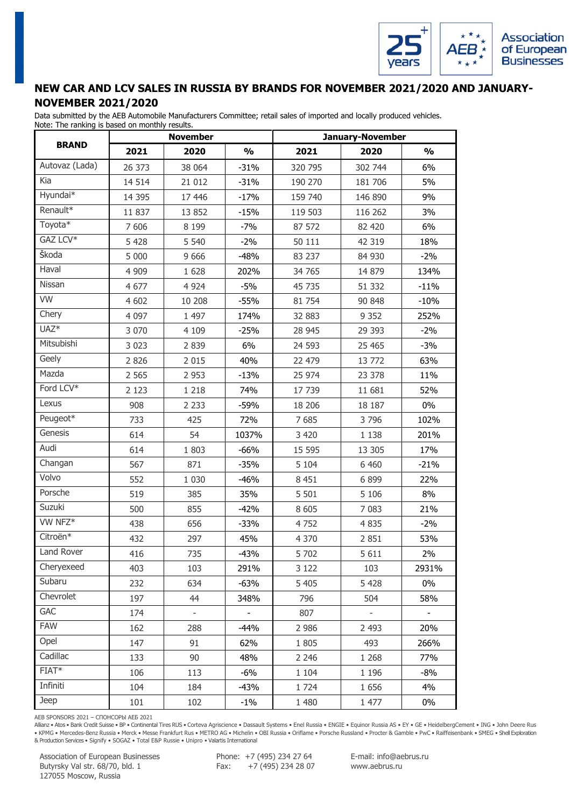

## **NEW CAR AND LCV SALES IN RUSSIA BY BRANDS FOR NOVEMBER 2021/2020 AND JANUARY-NOVEMBER 2021/2020**

Data submitted by the AEB Automobile Manufacturers Committee; retail sales of imported and locally produced vehicles. Note: The ranking is based on monthly results.

| rote: The furning is based on monemy results. |         | <b>November</b> |                  |         | January-November         |               |  |
|-----------------------------------------------|---------|-----------------|------------------|---------|--------------------------|---------------|--|
| <b>BRAND</b>                                  | 2021    | 2020            | $\frac{1}{2}$    | 2021    | 2020                     | $\frac{1}{2}$ |  |
| Autovaz (Lada)                                | 26 373  | 38 064          | $-31%$           | 320 795 | 302 744                  | 6%            |  |
| Kia                                           | 14 5 14 | 21 012          | $-31%$           | 190 270 | 181 706                  | 5%            |  |
| Hyundai*                                      | 14 3 95 | 17 446          | $-17%$           | 159 740 | 146 890                  | 9%            |  |
| Renault*                                      | 11 837  | 13 852          | $-15%$           | 119 503 | 116 262                  | 3%            |  |
| Toyota*                                       | 7 60 6  | 8 1 9 9         | $-7%$            | 87 572  | 82 420                   | 6%            |  |
| GAZ LCV*                                      | 5 4 2 8 | 5 5 4 0         | $-2\%$           | 50 111  | 42 319                   | 18%           |  |
| Škoda                                         | 5 000   | 9 6 6 6         | $-48%$           | 83 237  | 84 930                   | $-2%$         |  |
| Haval                                         | 4 9 0 9 | 1 6 2 8         | 202%             | 34 765  | 14 8 79                  | 134%          |  |
| Nissan                                        | 4 6 7 7 | 4 9 2 4         | $-5%$            | 45 735  | 51 332                   | $-11%$        |  |
| <b>VW</b>                                     | 4 602   | 10 208          | $-55%$           | 81 754  | 90 848                   | $-10%$        |  |
| Chery                                         | 4 0 9 7 | 1 4 9 7         | 174%             | 32 883  | 9 3 5 2                  | 252%          |  |
| UAZ <sup>*</sup>                              | 3 0 7 0 | 4 1 0 9         | $-25%$           | 28 945  | 29 393                   | $-2\%$        |  |
| Mitsubishi                                    | 3 0 2 3 | 2 8 3 9         | 6%               | 24 5 93 | 25 4 65                  | $-3%$         |  |
| Geely                                         | 2 8 2 6 | 2 0 1 5         | 40%              | 22 479  | 13772                    | 63%           |  |
| Mazda                                         | 2 5 6 5 | 2 9 5 3         | $-13%$           | 25 974  | 23 378                   | 11%           |  |
| Ford LCV*                                     | 2 1 2 3 | 1 2 1 8         | 74%              | 17 739  | 11 681                   | 52%           |  |
| Lexus                                         | 908     | 2 2 3 3         | $-59%$           | 18 20 6 | 18 187                   | 0%            |  |
| Peugeot*                                      | 733     | 425             | 72%              | 7685    | 3796                     | 102%          |  |
| Genesis                                       | 614     | 54              | 1037%            | 3 4 2 0 | 1 1 3 8                  | 201%          |  |
| Audi                                          | 614     | 1803            | $-66%$           | 15 5 95 | 13 30 5                  | 17%           |  |
| Changan                                       | 567     | 871             | $-35%$           | 5 1 0 4 | 6 4 6 0                  | $-21%$        |  |
| Volvo                                         | 552     | 1 0 3 0         | $-46%$           | 8 4 5 1 | 6899                     | 22%           |  |
| Porsche                                       | 519     | 385             | 35%              | 5 5 0 1 | 5 1 0 6                  | 8%            |  |
| Suzuki                                        | 500     | 855             | $-42%$           | 8 6 0 5 | 7 0 8 3                  | 21%           |  |
| VW NFZ*                                       | 438     | 656             | $-33%$           | 4752    | 4 8 3 5                  | $-2%$         |  |
| Citroën*                                      | 432     | 297             | 45%              | 4 3 7 0 | 2 8 5 1                  | 53%           |  |
| Land Rover                                    | 416     | 735             | -43%             | 5 702   | 5 6 1 1                  | 2%            |  |
| Cheryexeed                                    | 403     | 103             | 291%             | 3 1 2 2 | 103                      | 2931%         |  |
| Subaru                                        | 232     | 634             | $-63%$           | 5 4 0 5 | 5428                     | $0\%$         |  |
| Chevrolet                                     | 197     | 44              | 348%             | 796     | 504                      | 58%           |  |
| <b>GAC</b>                                    | 174     | $\omega$        | $\omega_{\rm c}$ | 807     | $\overline{\phantom{a}}$ | $\pm$         |  |
| <b>FAW</b>                                    | 162     | 288             | $-44%$           | 2 9 8 6 | 2 4 9 3                  | 20%           |  |
| Opel                                          | 147     | 91              | 62%              | 1805    | 493                      | 266%          |  |
| Cadillac                                      | 133     | 90              | 48%              | 2 2 4 6 | 1 2 6 8                  | 77%           |  |
| FIAT*                                         | 106     | 113             | $-6%$            | 1 1 0 4 | 1 1 9 6                  | $-8%$         |  |
| Infiniti                                      | 104     | 184             | $-43%$           | 1 7 2 4 | 1656                     | 4%            |  |
| Jeep                                          | 101     | 102             | $-1\%$           | 1 480   | 1 477                    | 0%            |  |

AEB SPONSORS 2021 – СПОНСОРЫ АЕБ 2021

Allianz • Atos • Bank Credit Suisse • BP • Continental Tires RUS • Corteva Agriscience • Dassault Systems • Enel Russia • ENGIE • Equinor Russia AS • EY • GE • HeidelbergCement • ING • John Deere Rus • KPMG • Mercedes-Benz Russia • Merck • Messe Frankfurt Rus • METRO AG • Michelin • OBI Russia • Oriflame • Porsche Russland • Procter & Gamble • PwC • Raiffeisenbank • SMEG • Shell Exploration & Production Services • Signify • SOGAZ • Total E&P Russie • Unipro • Valartis International

Association of European Businesses Butyrsky Val str. 68/70, bld. 1 127055 Moscow, Russia

Phone: +7 (495) 234 27 64 Fax: +7 (495) 234 28 07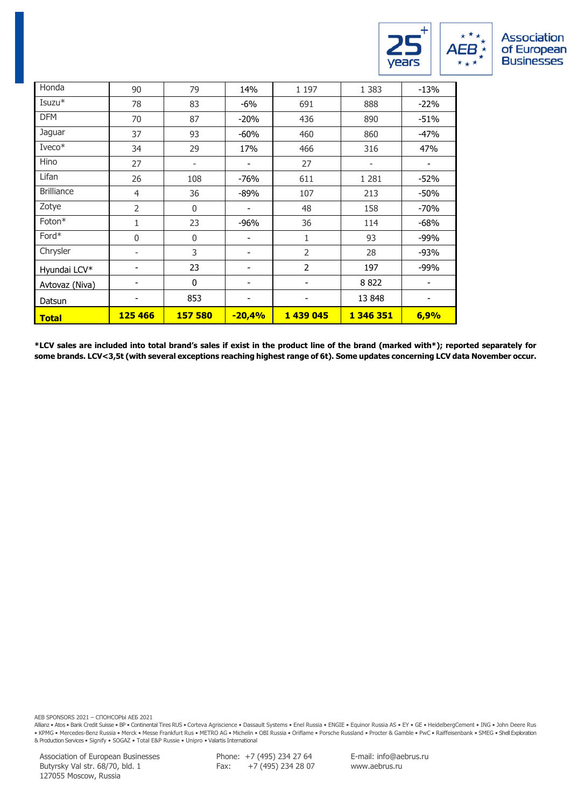

| Honda             | 90             | 79                       | 14%      | 1 1 9 7        | 1 3 8 3   | $-13%$ |
|-------------------|----------------|--------------------------|----------|----------------|-----------|--------|
| $I$ suzu $*$      | 78             | 83                       | $-6\%$   | 691            | 888       | $-22%$ |
| <b>DFM</b>        | 70             | 87                       | $-20%$   | 436            | 890       | $-51%$ |
| Jaguar            | 37             | 93                       | $-60%$   | 460            | 860       | $-47%$ |
| Iveco*            | 34             | 29                       | 17%      | 466            | 316       | 47%    |
| Hino              | 27             | $\overline{\phantom{a}}$ |          | 27             | -         |        |
| Lifan             | 26             | 108                      | $-76%$   | 611            | 1 2 8 1   | $-52%$ |
| <b>Brilliance</b> | 4              | 36                       | $-89%$   | 107            | 213       | $-50%$ |
| Zotye             | 2              | 0                        |          | 48             | 158       | $-70%$ |
| Foton*            | $\mathbf{1}$   | 23                       | $-96%$   | 36             | 114       | $-68%$ |
| Ford*             | 0              | $\boldsymbol{0}$         | ۰        | 1              | 93        | $-99%$ |
| Chrysler          | -              | 3                        |          | $\overline{2}$ | 28        | $-93%$ |
| Hyundai LCV*      | -              | 23                       |          | 2              | 197       | $-99%$ |
| Avtovaz (Niva)    |                | 0                        |          |                | 8822      |        |
| Datsun            |                | 853                      |          |                | 13 848    | ٠      |
| <b>Total</b>      | <b>125 466</b> | <b>157 580</b>           | $-20,4%$ | 1 439 045      | 1 346 351 | 6,9%   |

**\*LCV sales are included into total brand's sales if exist in the product line of the brand (marked with\*); reported separately for some brands. LCV<3,5t (with several exceptions reaching highest range of 6t). Some updates concerning LCV data November occur.**

AEB SPONSORS 2021 – СПОНСОРЫ АЕБ 2021

Allianz • Atos • Bank Credit Suisse • BP • Continental Tires RUS • Corteva Agriscience • Dassault Systems • Enel Russia • ENGIE • Equinor Russia AS • EY • GE • HeidelbergCement • ING • John Deere Rus • KPMG • Mercedes-Benz Russia • Merck • Messe Frankfurt Rus • METRO AG • Michelin • OBI Russia • Oriflame • Porsche Russland • Procter & Gamble • PwC • Raiffeisenbank • SMEG • Shell Exploration<br>& Production Services • Sign

Association of European Businesses Butyrsky Val str. 68/70, bld. 1 127055 Moscow, Russia

Phone: +7 (495) 234 27 64 Fax: +7 (495) 234 28 07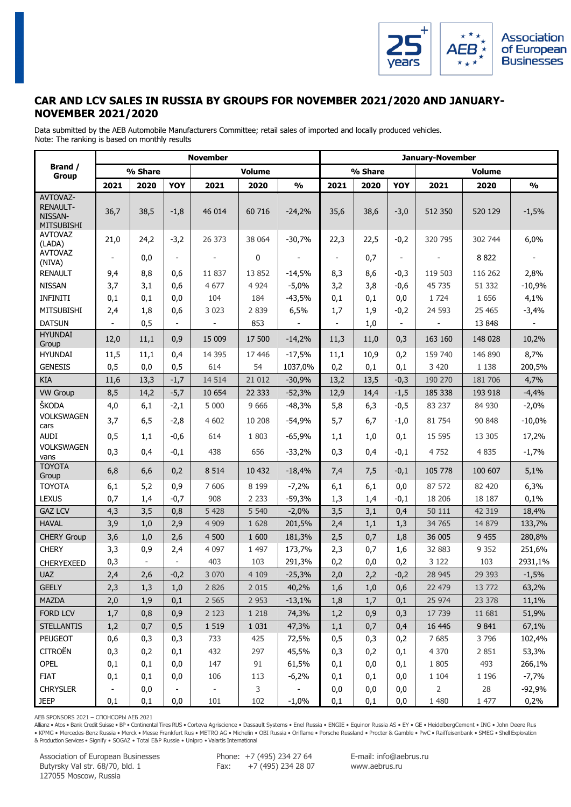

### **CAR AND LCV SALES IN RUSSIA BY GROUPS FOR NOVEMBER 2021/2020 AND JANUARY-NOVEMBER 2021/2020**

Data submitted by the AEB Automobile Manufacturers Committee; retail sales of imported and locally produced vehicles. Note: The ranking is based on monthly results

|                                                      |                          |                |                          | <b>November</b>          |               |               |                          |         |                          | January-November |               |               |
|------------------------------------------------------|--------------------------|----------------|--------------------------|--------------------------|---------------|---------------|--------------------------|---------|--------------------------|------------------|---------------|---------------|
| Brand /<br><b>Group</b>                              |                          | % Share        |                          |                          | <b>Volume</b> |               |                          | % Share |                          |                  | <b>Volume</b> |               |
|                                                      | 2021                     | 2020           | YOY                      | 2021                     | 2020          | $\frac{0}{0}$ | 2021                     | 2020    | YOY                      | 2021             | 2020          | $\frac{0}{0}$ |
| AVTOVAZ-<br><b>RENAULT-</b><br>NISSAN-<br>MITSUBISHI | 36,7                     | 38,5           | $-1,8$                   | 46 014                   | 60 716        | $-24,2%$      | 35,6                     | 38,6    | $-3,0$                   | 512 350          | 520 129       | $-1,5%$       |
| <b>AVTOVAZ</b><br>(LADA)                             | 21,0                     | 24,2           | $-3,2$                   | 26 373                   | 38 064        | $-30,7%$      | 22,3                     | 22,5    | $-0,2$                   | 320 795          | 302 744       | 6,0%          |
| <b>AVTOVAZ</b><br>(NIVA)                             | $\overline{\phantom{a}}$ | 0,0            | $\overline{\phantom{a}}$ |                          | 0             |               | $\overline{\phantom{a}}$ | 0,7     | $\overline{\phantom{a}}$ |                  | 8822          |               |
| <b>RENAULT</b>                                       | 9,4                      | 8,8            | 0,6                      | 11 837                   | 13 8 52       | $-14,5%$      | 8,3                      | 8,6     | $-0,3$                   | 119 503          | 116 262       | 2,8%          |
| <b>NISSAN</b>                                        | 3,7                      | 3,1            | 0,6                      | 4 677                    | 4 9 24        | $-5,0%$       | 3,2                      | 3,8     | $-0,6$                   | 45 735           | 51 332        | $-10,9%$      |
| <b>INFINITI</b>                                      | 0,1                      | 0,1            | 0,0                      | 104                      | 184           | $-43,5%$      | 0,1                      | 0,1     | 0,0                      | 1 7 2 4          | 1 6 5 6       | 4,1%          |
| <b>MITSUBISHI</b>                                    | 2,4                      | 1,8            | 0,6                      | 3 0 2 3                  | 2 8 3 9       | 6,5%          | 1,7                      | 1,9     | $-0,2$                   | 24 593           | 25 465        | $-3,4%$       |
| <b>DATSUN</b>                                        |                          | 0,5            | $\blacksquare$           |                          | 853           |               |                          | 1,0     | $\overline{\phantom{a}}$ |                  | 13 848        |               |
| <b>HYUNDAI</b><br>Group                              | 12,0                     | 11,1           | 0,9                      | 15 009                   | 17 500        | $-14,2%$      | 11,3                     | 11,0    | 0,3                      | 163 160          | 148 028       | 10,2%         |
| <b>HYUNDAI</b>                                       | 11,5                     | 11,1           | 0,4                      | 14 3 95                  | 17 446        | $-17,5%$      | 11,1                     | 10,9    | 0,2                      | 159 740          | 146 890       | 8,7%          |
| <b>GENESIS</b>                                       | 0,5                      | 0,0            | 0,5                      | 614                      | 54            | 1037,0%       | 0,2                      | 0,1     | 0,1                      | 3 4 2 0          | 1 1 3 8       | 200,5%        |
| <b>KIA</b>                                           | 11,6                     | 13,3           | $-1,7$                   | 14 5 14                  | 21 0 12       | $-30,9%$      | 13,2                     | 13,5    | $-0,3$                   | 190 270          | 181 706       | 4,7%          |
| <b>VW Group</b>                                      | 8,5                      | 14,2           | $-5,7$                   | 10 654                   | 22 3 33       | $-52,3%$      | 12,9                     | 14,4    | $-1,5$                   | 185 338          | 193 918       | $-4,4%$       |
| ŠKODA                                                | 4,0                      | 6,1            | $-2,1$                   | 5 0 0 0                  | 9 6 6 6       | $-48,3%$      | 5,8                      | 6,3     | $-0,5$                   | 83 237           | 84 930        | $-2,0%$       |
| <b>VOLKSWAGEN</b><br>cars                            | 3,7                      | 6,5            | $-2,8$                   | 4 602                    | 10 208        | $-54,9%$      | 5,7                      | 6,7     | $-1,0$                   | 81 754           | 90 848        | $-10,0%$      |
| <b>AUDI</b>                                          | 0,5                      | 1,1            | $-0,6$                   | 614                      | 1 803         | $-65,9%$      | 1,1                      | 1,0     | 0,1                      | 15 5 95          | 13 3 05       | 17,2%         |
| <b>VOLKSWAGEN</b><br>vans                            | 0,3                      | 0,4            | $-0,1$                   | 438                      | 656           | $-33,2%$      | 0,3                      | 0,4     | $-0,1$                   | 4 7 5 2          | 4 8 3 5       | $-1,7%$       |
| <b>TOYOTA</b><br>Group                               | 6,8                      | 6, 6           | 0,2                      | 8 5 1 4                  | 10 432        | $-18,4%$      | 7,4                      | 7,5     | $-0,1$                   | 105 778          | 100 607       | 5,1%          |
| <b>TOYOTA</b>                                        | 6,1                      | 5,2            | 0,9                      | 7 60 6                   | 8 1 9 9       | $-7,2%$       | 6,1                      | 6,1     | 0,0                      | 87 572           | 82 420        | 6,3%          |
| <b>LEXUS</b>                                         | 0,7                      | 1,4            | $-0,7$                   | 908                      | 2 2 3 3       | $-59,3%$      | 1,3                      | 1,4     | $-0,1$                   | 18 20 6          | 18 187        | 0,1%          |
| <b>GAZ LCV</b>                                       | 4,3                      | 3,5            | 0,8                      | 5 4 2 8                  | 5 5 4 0       | $-2,0%$       | 3,5                      | 3,1     | 0,4                      | 50 111           | 42 319        | 18,4%         |
| <b>HAVAL</b>                                         | 3,9                      | 1,0            | 2,9                      | 4 9 0 9                  | 1 6 2 8       | 201,5%        | 2,4                      | 1,1     | 1,3                      | 34 765           | 14 879        | 133,7%        |
| <b>CHERY Group</b>                                   | 3,6                      | 1,0            | 2,6                      | 4 500                    | 1 600         | 181,3%        | 2,5                      | 0,7     | 1,8                      | 36 005           | 9 4 5 5       | 280,8%        |
| <b>CHERY</b>                                         | 3,3                      | 0,9            | 2,4                      | 4 0 9 7                  | 1 4 9 7       | 173,7%        | 2,3                      | 0,7     | 1,6                      | 32 883           | 9 3 5 2       | 251,6%        |
| <b>CHERYEXEED</b>                                    | 0,3                      | $\overline{a}$ |                          | 403                      | 103           | 291,3%        | 0,2                      | 0,0     | 0,2                      | 3 1 2 2          | 103           | 2931,1%       |
| <b>UAZ</b>                                           | 2,4                      | 2,6            | $-0,2$                   | 3 0 7 0                  | 4 1 0 9       | $-25,3%$      | 2,0                      | 2,2     | $-0,2$                   | 28 945           | 29 393        | $-1,5%$       |
| <b>GEELY</b>                                         | 2,3                      | 1,3            | 1,0                      | 2 8 2 6                  | 2 0 1 5       | 40,2%         | 1,6                      | 1,0     | 0,6                      | 22 479           | 13 772        | 63,2%         |
| MAZDA                                                | 2,0                      | 1,9            | 0,1                      | 2 5 6 5                  | 2 9 5 3       | $-13,1%$      | 1,8                      | 1,7     | 0,1                      | 25 974           | 23 378        | 11,1%         |
| FORD LCV                                             | 1,7                      | 0,8            | 0,9                      | 2 1 2 3                  | 1 2 1 8       | 74,3%         | 1,2                      | 0,9     | 0,3                      | 17 739           | 11 681        | 51,9%         |
| <b>STELLANTIS</b>                                    | 1,2                      | 0,7            | 0,5                      | 1 5 1 9                  | 1 0 3 1       | 47,3%         | 1,1                      | 0,7     | 0,4                      | 16 44 6          | 9 8 4 1       | 67,1%         |
| <b>PEUGEOT</b>                                       | 0,6                      | 0,3            | 0,3                      | 733                      | 425           | 72,5%         | 0, 5                     | 0,3     | 0,2                      | 7685             | 3 7 9 6       | 102,4%        |
| <b>CITROËN</b>                                       | 0,3                      | 0,2            | 0,1                      | 432                      | 297           | 45,5%         | 0,3                      | 0,2     | 0,1                      | 4 3 7 0          | 2 8 5 1       | 53,3%         |
| OPEL                                                 | 0,1                      | 0,1            | 0,0                      | 147                      | 91            | 61,5%         | 0,1                      | 0,0     | 0,1                      | 1 8 0 5          | 493           | 266,1%        |
| <b>FIAT</b>                                          | 0,1                      | 0,1            | 0,0                      | 106                      | 113           | $-6,2%$       | 0,1                      | 0,1     | 0,0                      | 1 1 0 4          | 1 1 9 6       | $-7,7%$       |
| <b>CHRYSLER</b>                                      | $\overline{\phantom{a}}$ | 0,0            |                          | $\overline{\phantom{a}}$ | 3             |               | 0,0                      | 0,0     | 0,0                      | $\overline{2}$   | 28            | $-92,9%$      |
| <b>JEEP</b>                                          | 0,1                      | 0,1            | 0,0                      | 101                      | 102           | $-1,0%$       | 0,1                      | 0,1     | 0,0                      | 1 480            | 1 477         | 0,2%          |

AEB SPONSORS 2021 – СПОНСОРЫ АЕБ 2021

Allianz • Atos • Bank Credit Suisse • BP • Continental Tires RUS • Corteva Agriscience • Dassault Systems • Enel Russia • ENGIE • Equinor Russia AS • EY • GE • HeidelbergCement • ING • John Deere Rus • KPMG • Mercedes-Benz Russia • Merck • Messe Frankfurt Rus • METRO AG • Michelin • OBI Russia • Oriflame • Porsche Russland • Procter & Gamble • PwC • Raiffeisenbank • SMEG • Shell Exploration & Production Services • Signify • SOGAZ • Total E&P Russie • Unipro • Valartis International

Association of European Businesses Butyrsky Val str. 68/70, bld. 1 127055 Moscow, Russia

Phone: +7 (495) 234 27 64 Fax: +7 (495) 234 28 07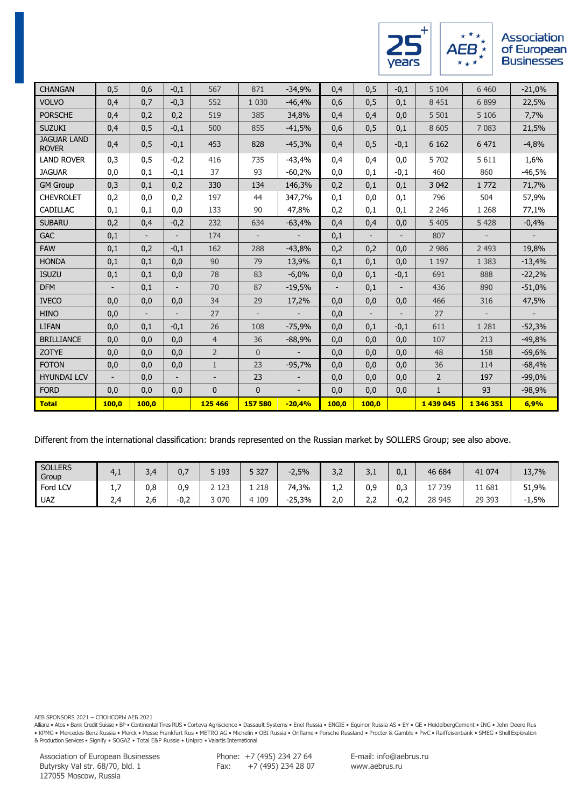

| <b>CHANGAN</b>                     | 0,5                      | 0,6                      | $-0,1$                   | 567            | 871                      | $-34,9%$                 | 0,4   | 0,5                      | $-0,1$                   | 5 104          | 6 4 6 0                  | $-21,0%$                 |
|------------------------------------|--------------------------|--------------------------|--------------------------|----------------|--------------------------|--------------------------|-------|--------------------------|--------------------------|----------------|--------------------------|--------------------------|
| <b>VOLVO</b>                       | 0,4                      | 0,7                      | $-0,3$                   | 552            | 1 0 3 0                  | $-46,4%$                 | 0,6   | 0,5                      | 0,1                      | 8 4 5 1        | 6 8 9 9                  | 22,5%                    |
| <b>PORSCHE</b>                     | 0,4                      | 0,2                      | 0,2                      | 519            | 385                      | 34,8%                    | 0,4   | 0,4                      | 0,0                      | 5 5 0 1        | 5 1 0 6                  | 7,7%                     |
| <b>SUZUKI</b>                      | 0,4                      | 0,5                      | $-0,1$                   | 500            | 855                      | $-41,5%$                 | 0,6   | 0,5                      | 0,1                      | 8 6 0 5        | 7 0 8 3                  | 21,5%                    |
| <b>JAGUAR LAND</b><br><b>ROVER</b> | 0,4                      | 0,5                      | $-0,1$                   | 453            | 828                      | $-45,3%$                 | 0,4   | 0,5                      | $-0,1$                   | 6 1 6 2        | 6 4 7 1                  | $-4,8%$                  |
| <b>LAND ROVER</b>                  | 0,3                      | 0,5                      | $-0,2$                   | 416            | 735                      | $-43,4%$                 | 0,4   | 0,4                      | 0,0                      | 5 702          | 5 6 1 1                  | 1,6%                     |
| <b>JAGUAR</b>                      | 0,0                      | 0,1                      | $-0,1$                   | 37             | 93                       | $-60,2%$                 | 0,0   | 0,1                      | $-0,1$                   | 460            | 860                      | -46,5%                   |
| <b>GM Group</b>                    | 0,3                      | 0,1                      | 0,2                      | 330            | 134                      | 146,3%                   | 0,2   | 0,1                      | 0,1                      | 3 0 4 2        | 1 7 7 2                  | 71,7%                    |
| <b>CHEVROLET</b>                   | 0,2                      | 0,0                      | 0,2                      | 197            | 44                       | 347,7%                   | 0,1   | 0,0                      | 0,1                      | 796            | 504                      | 57,9%                    |
| CADILLAC                           | 0,1                      | 0,1                      | 0,0                      | 133            | 90                       | 47,8%                    | 0,2   | 0,1                      | 0,1                      | 2 2 4 6        | 1 2 6 8                  | 77,1%                    |
| <b>SUBARU</b>                      | 0,2                      | 0,4                      | $-0,2$                   | 232            | 634                      | $-63,4%$                 | 0,4   | 0,4                      | 0,0                      | 5 4 0 5        | 5 4 2 8                  | $-0,4%$                  |
| <b>GAC</b>                         | 0,1                      | $\overline{\phantom{0}}$ | $\overline{\phantom{a}}$ | 174            | $\overline{\phantom{a}}$ |                          | 0,1   | $\overline{\phantom{0}}$ | $\overline{\phantom{a}}$ | 807            | $\overline{\phantom{a}}$ | $\overline{\phantom{a}}$ |
| <b>FAW</b>                         | 0,1                      | 0,2                      | $-0,1$                   | 162            | 288                      | $-43,8%$                 | 0,2   | 0,2                      | 0,0                      | 2 9 8 6        | 2 4 9 3                  | 19,8%                    |
| <b>HONDA</b>                       | 0,1                      | 0,1                      | 0,0                      | 90             | 79                       | 13,9%                    | 0,1   | 0,1                      | 0,0                      | 1 1 9 7        | 1 3 8 3                  | $-13,4%$                 |
| <b>ISUZU</b>                       | 0,1                      | 0,1                      | 0,0                      | 78             | 83                       | $-6,0%$                  | 0,0   | 0,1                      | $-0,1$                   | 691            | 888                      | $-22,2%$                 |
| <b>DFM</b>                         |                          | 0,1                      |                          | 70             | 87                       | $-19,5%$                 |       | 0,1                      |                          | 436            | 890                      | $-51,0%$                 |
| <b>IVECO</b>                       | 0,0                      | 0,0                      | 0,0                      | 34             | 29                       | 17,2%                    | 0,0   | 0,0                      | 0,0                      | 466            | 316                      | 47,5%                    |
| <b>HINO</b>                        | 0,0                      | $\overline{\phantom{0}}$ | $\blacksquare$           | 27             | $\overline{\phantom{a}}$ |                          | 0,0   | $\blacksquare$           | $\blacksquare$           | 27             | $\overline{\phantom{a}}$ | $\overline{a}$           |
| <b>LIFAN</b>                       | 0,0                      | 0,1                      | $-0,1$                   | 26             | 108                      | $-75,9%$                 | 0,0   | 0,1                      | $-0,1$                   | 611            | 1 2 8 1                  | $-52,3%$                 |
| <b>BRILLIANCE</b>                  | 0,0                      | 0,0                      | 0,0                      | $\overline{4}$ | 36                       | $-88,9%$                 | 0,0   | 0,0                      | 0,0                      | 107            | 213                      | $-49,8%$                 |
| <b>ZOTYE</b>                       | 0,0                      | 0,0                      | 0,0                      | $\overline{2}$ | $\overline{0}$           |                          | 0,0   | 0,0                      | 0,0                      | 48             | 158                      | $-69,6%$                 |
| <b>FOTON</b>                       | 0,0                      | 0,0                      | 0,0                      | $\mathbf{1}$   | 23                       | $-95,7%$                 | 0,0   | 0,0                      | 0,0                      | 36             | 114                      | $-68,4%$                 |
| <b>HYUNDAI LCV</b>                 | $\overline{\phantom{a}}$ | 0,0                      | $\overline{\phantom{a}}$ | $\overline{a}$ | 23                       |                          | 0,0   | 0,0                      | 0,0                      | $\overline{2}$ | 197                      | $-99,0%$                 |
| <b>FORD</b>                        | 0,0                      | 0,0                      | 0,0                      | $\Omega$       | $\Omega$                 | $\overline{\phantom{a}}$ | 0,0   | 0,0                      | 0,0                      | $\mathbf{1}$   | 93                       | $-98,9%$                 |
| <b>Total</b>                       | 100,0                    | 100,0                    |                          | 125 466        | 157 580                  | $-20,4%$                 | 100,0 | 100,0                    |                          | 1 439 045      | 1 346 351                | 6,9%                     |

Different from the international classification: brands represented on the Russian market by SOLLERS Group; see also above.

| <b>SOLLERS</b><br>Group | 4,4             | 34<br>- رب    | υ,,    | 193 | 5 3 2 7 | $-2,5%$  | 3,2     | $\overline{\phantom{0}}$<br>۲٬۳ | 0,1    | 46 684 | 41 0 74  | 13,7%   |
|-------------------------|-----------------|---------------|--------|-----|---------|----------|---------|---------------------------------|--------|--------|----------|---------|
| Ford LCV                | -<br><b>L</b> , | 0,8           | 0,9    | 123 | 218     | 74,3%    | っ<br>τ, | 0,9                             | 0,3    | 739    | !1 681   | 51,9%   |
| <b>UAZ</b>              | 74<br><u></u>   | $\sim$<br>z,u | $-0,2$ | 070 | 4 109   | $-25.3%$ | 2,0     | <b>- -</b><br>ے ۔               | $-0,2$ | 28 945 | 29 3 9 3 | $-1,5%$ |

AEB SPONSORS 2021 – СПОНСОРЫ АЕБ 2021

Allianz • Atos • Bank Credit Suisse • BP • Continental Tires RUS • Corteva Agriscience • Dassault Systems • Enel Russia • ENGIE • Equinor Russia AS • EY • GE • HeidelbergCement • ING • John Deere Rus • KPMG • Mercedes-Benz Russia • Merck • Messe Frankfurt Rus • METRO AG • Michelin • OBI Russia • Oriflame • Porsche Russland • Procter & Gamble • PwC • Raiffeisenbank • SMEG • Shell Exploration<br>& Production Services • Sign

Association of European Businesses Butyrsky Val str. 68/70, bld. 1 127055 Moscow, Russia

Phone: +7 (495) 234 27 64 Fax:  $+7(495)$  234 28 07